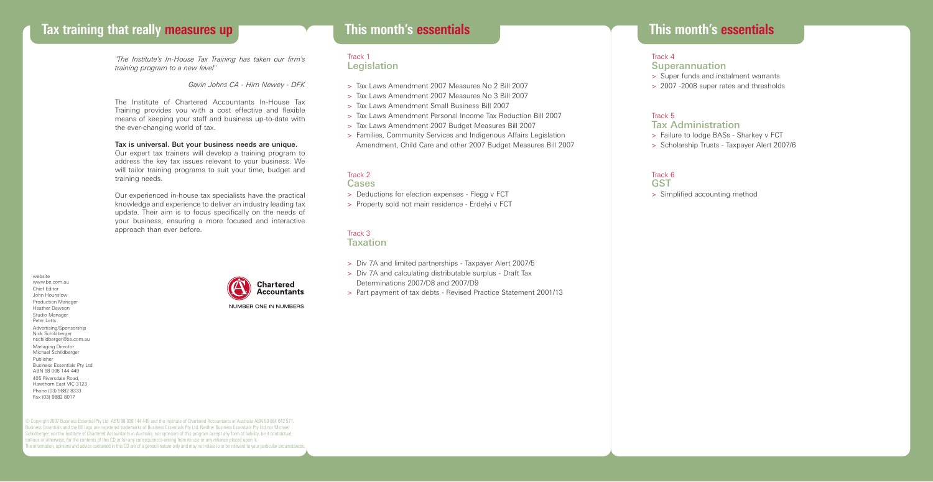# **Tax training that really measures up This month's essentials**

*"The Institute's In-House Tax Training has taken our firm's training program to a new level"*

*Gavin Johns CA - Hirn Newey - DFK*

The Institute of Chartered Accountants In-House Tax Training provides you with a cost effective and flexible means of keeping your staff and business up-to-date with the ever-changing world of tax.

#### Tax is universal. But your business needs are unique.

Our expert tax trainers will develop a training program to address the key tax issues relevant to your business. We will tailor training programs to suit your time, budget and training needs.

Our experienced in-house tax specialists have the practical knowledge and experience to deliver an industry leading tax update. Their aim is to focus specifically on the needs of your business, ensuring a more focused and interactive approach than ever before.

© Copyright 2007 Business Essential Pty Ltd ABN 98 006 144 449 and the Institute of Chartered Accountants in Australia ABN 50 084 642 571. Business Essentials and the BE logo are registered trademarks of Business Essentials Pty Ltd. Neither Business Essentials Pty Ltd nor Michael Schildberger, nor the Institute of Chartered Accountants in Australia, nor sponsors of this program accept any form of liability, be it contractual,

The information, opinions and advice contained in this CD are of a general nature only and may not relate to or be relevant to your particular circumstances.

tortious or otherwise, for the contents of this CD or for any consequences arising from its use or any reliance placed upon it.

website www.be.com.au Chief Editor John Hounslow Production Manager Heather Dawson Studio Manager Peter Letts Advertising/Sponsorship Nick Schildberger nschildberger@be.com.au Managing Director Michael Schildberger Publisher Business Essentials Pty Ltd ABN 98 006 144 449 405 Riversdale Road, Hawthorn East VIC 3123 Phone (03) 9882 8333 Fax (03) 9882 8017



# **This month's essentials**

### Track 1 Legislation

- > Tax Laws Amendment 2007 Measures No 2 Bill 2007
- > Tax Laws Amendment 2007 Measures No 3 Bill 2007
- > Tax Laws Amendment Small Business Bill 2007
- > Tax Laws Amendment Personal Income Tax Reduction Bill 2007
- > Tax Laws Amendment 2007 Budget Measures Bill 2007
- > Families, Community Services and Indigenous Affairs Legislation Amendment, Child Care and other 2007 Budget Measures Bill 2007

### Track 2 Cases

- > Deductions for election expenses Flegg v FCT
- > Property sold not main residence Erdelyi v FCT

#### Track 3 **Taxation**

- > Div 7A and limited partnerships Taxpayer Alert 2007/5
- > Div 7A and calculating distributable surplus Draft Tax
- Determinations 2007/D8 and 2007/D9
- > Part payment of tax debts Revised Practice Statement 2001/13

## Track 4

- Superannuation
- > Super funds and instalment warrants
- > 2007 -2008 super rates and thresholds

# Track 5

## Tax Administration

- > Failure to lodge BASs Sharkey v FCT
- > Scholarship Trusts Taxpayer Alert 2007/6

# Track 6

- **GST**
- > Simplified accounting method